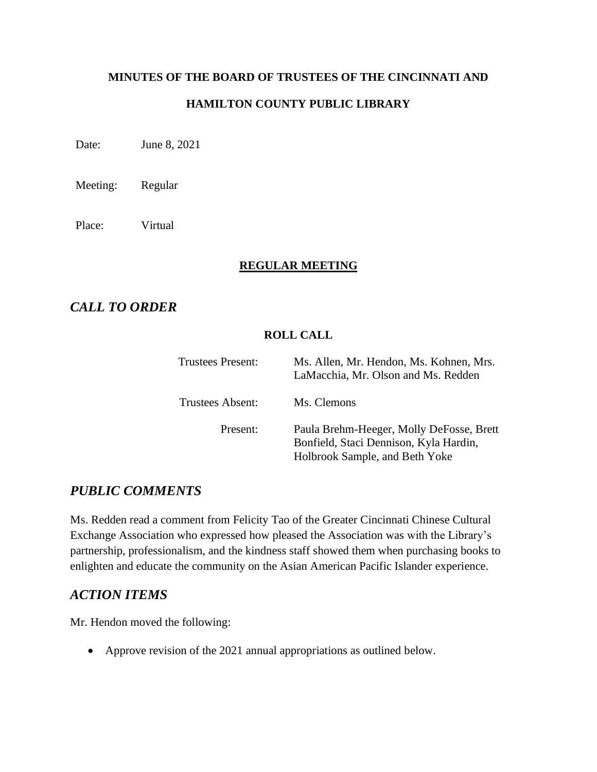# **MINUTES OF THE BOARD OF TRUSTEES OF THE CINCINNATI AND**

### **HAMILTON COUNTY PUBLIC LIBRARY**

Date: June 8, 2021

Meeting: Regular

Place: Virtual

#### **REGULAR MEETING**

# *CALL TO ORDER*

### **ROLL CALL**

| <b>Trustees Present:</b> | Ms. Allen, Mr. Hendon, Ms. Kohnen, Mrs.<br>LaMacchia, Mr. Olson and Ms. Redden                                       |
|--------------------------|----------------------------------------------------------------------------------------------------------------------|
| Trustees Absent:         | Ms. Clemons                                                                                                          |
| Present:                 | Paula Brehm-Heeger, Molly DeFosse, Brett<br>Bonfield, Staci Dennison, Kyla Hardin,<br>Holbrook Sample, and Beth Yoke |

# *PUBLIC COMMENTS*

Ms. Redden read a comment from Felicity Tao of the Greater Cincinnati Chinese Cultural Exchange Association who expressed how pleased the Association was with the Library's partnership, professionalism, and the kindness staff showed them when purchasing books to enlighten and educate the community on the Asian American Pacific Islander experience.

# *ACTION ITEMS*

Mr. Hendon moved the following:

• Approve revision of the 2021 annual appropriations as outlined below.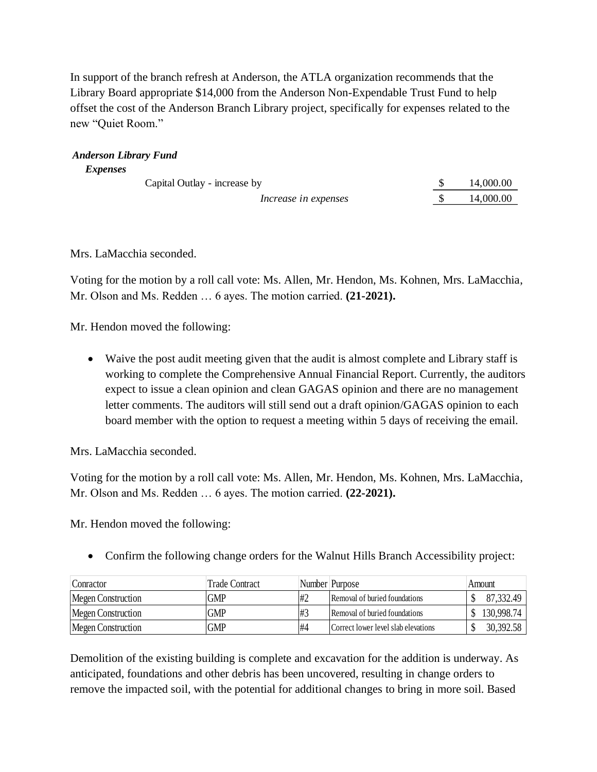In support of the branch refresh at Anderson, the ATLA organization recommends that the Library Board appropriate \$14,000 from the Anderson Non-Expendable Trust Fund to help offset the cost of the Anderson Branch Library project, specifically for expenses related to the new "Quiet Room."

| <i>Expenses</i>              |           |
|------------------------------|-----------|
| Capital Outlay - increase by | 14,000.00 |
| Increase in expenses         | 14,000.00 |

Mrs. LaMacchia seconded.

*Anderson Library Fund*

Voting for the motion by a roll call vote: Ms. Allen, Mr. Hendon, Ms. Kohnen, Mrs. LaMacchia, Mr. Olson and Ms. Redden … 6 ayes. The motion carried. **(21-2021).**

Mr. Hendon moved the following:

• Waive the post audit meeting given that the audit is almost complete and Library staff is working to complete the Comprehensive Annual Financial Report. Currently, the auditors expect to issue a clean opinion and clean GAGAS opinion and there are no management letter comments. The auditors will still send out a draft opinion/GAGAS opinion to each board member with the option to request a meeting within 5 days of receiving the email.

Mrs. LaMacchia seconded.

Voting for the motion by a roll call vote: Ms. Allen, Mr. Hendon, Ms. Kohnen, Mrs. LaMacchia, Mr. Olson and Ms. Redden … 6 ayes. The motion carried. **(22-2021).**

Mr. Hendon moved the following:

• Confirm the following change orders for the Walnut Hills Branch Accessibility project:

| Conractor                 | Trade Contract |    | Number Purpose                       | Amount     |
|---------------------------|----------------|----|--------------------------------------|------------|
| <b>Megen Construction</b> | <b>GMP</b>     | #2 | Removal of buried foundations        | 87,332.49  |
| Megen Construction        | <b>GMP</b>     | #3 | <b>Removal of buried foundations</b> | 130,998.74 |
| Megen Construction        | <b>GMP</b>     | #4 | Correct lower level slab elevations  | 30,392.58  |

Demolition of the existing building is complete and excavation for the addition is underway. As anticipated, foundations and other debris has been uncovered, resulting in change orders to remove the impacted soil, with the potential for additional changes to bring in more soil. Based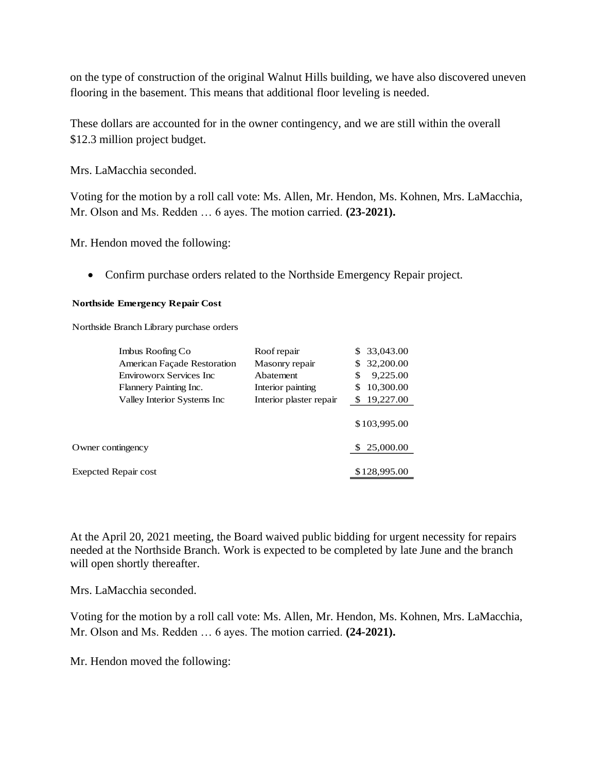on the type of construction of the original Walnut Hills building, we have also discovered uneven flooring in the basement. This means that additional floor leveling is needed.

These dollars are accounted for in the owner contingency, and we are still within the overall \$12.3 million project budget.

Mrs. LaMacchia seconded.

Voting for the motion by a roll call vote: Ms. Allen, Mr. Hendon, Ms. Kohnen, Mrs. LaMacchia, Mr. Olson and Ms. Redden … 6 ayes. The motion carried. **(23-2021).**

Mr. Hendon moved the following:

• Confirm purchase orders related to the Northside Emergency Repair project.

#### **Northside Emergency Repair Cost**

Northside Branch Library purchase orders

| Imbus Roofing Co            | Roof repair             | 33,043.00      |
|-----------------------------|-------------------------|----------------|
| American Façade Restoration | Masonry repair          | 32,200.00      |
| Enviroworx Services Inc     | Abatement               | 9,225.00<br>\$ |
| Flannery Painting Inc.      | Interior painting       | 10,300.00      |
| Valley Interior Systems Inc | Interior plaster repair | 19,227.00      |
|                             |                         | \$103,995.00   |
| Owner contingency           |                         | 25,000.00      |
| <b>Exepcted Repair cost</b> |                         | \$128,995.00   |

At the April 20, 2021 meeting, the Board waived public bidding for urgent necessity for repairs needed at the Northside Branch. Work is expected to be completed by late June and the branch will open shortly thereafter.

Mrs. LaMacchia seconded.

Voting for the motion by a roll call vote: Ms. Allen, Mr. Hendon, Ms. Kohnen, Mrs. LaMacchia, Mr. Olson and Ms. Redden … 6 ayes. The motion carried. **(24-2021).**

Mr. Hendon moved the following: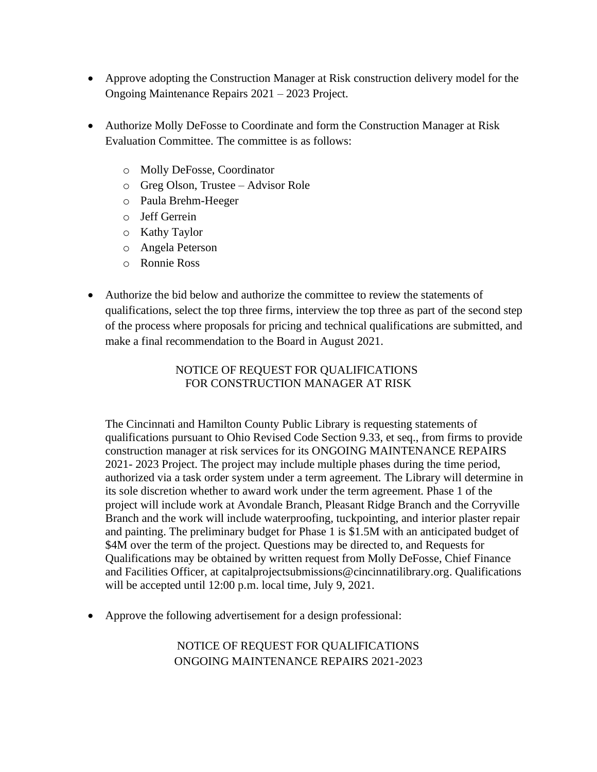- Approve adopting the Construction Manager at Risk construction delivery model for the Ongoing Maintenance Repairs 2021 – 2023 Project.
- Authorize Molly DeFosse to Coordinate and form the Construction Manager at Risk Evaluation Committee. The committee is as follows:
	- o Molly DeFosse, Coordinator
	- o Greg Olson, Trustee Advisor Role
	- o Paula Brehm-Heeger
	- o Jeff Gerrein
	- o Kathy Taylor
	- o Angela Peterson
	- o Ronnie Ross
- Authorize the bid below and authorize the committee to review the statements of qualifications, select the top three firms, interview the top three as part of the second step of the process where proposals for pricing and technical qualifications are submitted, and make a final recommendation to the Board in August 2021.

### NOTICE OF REQUEST FOR QUALIFICATIONS FOR CONSTRUCTION MANAGER AT RISK

The Cincinnati and Hamilton County Public Library is requesting statements of qualifications pursuant to Ohio Revised Code Section 9.33, et seq., from firms to provide construction manager at risk services for its ONGOING MAINTENANCE REPAIRS 2021- 2023 Project. The project may include multiple phases during the time period, authorized via a task order system under a term agreement. The Library will determine in its sole discretion whether to award work under the term agreement. Phase 1 of the project will include work at Avondale Branch, Pleasant Ridge Branch and the Corryville Branch and the work will include waterproofing, tuckpointing, and interior plaster repair and painting. The preliminary budget for Phase 1 is \$1.5M with an anticipated budget of \$4M over the term of the project. Questions may be directed to, and Requests for Qualifications may be obtained by written request from Molly DeFosse, Chief Finance and Facilities Officer, at [capitalprojectsubmissions@cincinnatilibrary.org.](mailto:capitalprojectsubmissions@cincinnatilibrary.org) Qualifications will be accepted until 12:00 p.m. local time, July 9, 2021.

• Approve the following advertisement for a design professional:

# NOTICE OF REQUEST FOR QUALIFICATIONS ONGOING MAINTENANCE REPAIRS 2021-2023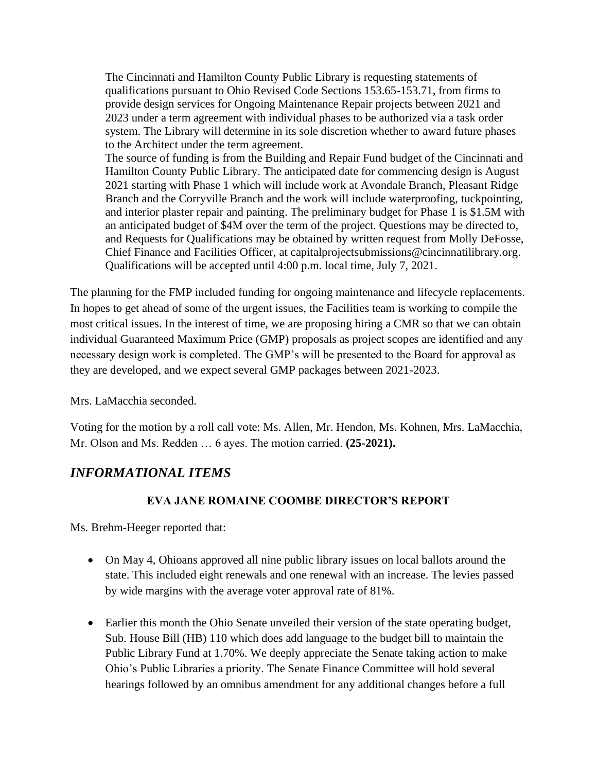The Cincinnati and Hamilton County Public Library is requesting statements of qualifications pursuant to Ohio Revised Code Sections 153.65-153.71, from firms to provide design services for Ongoing Maintenance Repair projects between 2021 and 2023 under a term agreement with individual phases to be authorized via a task order system. The Library will determine in its sole discretion whether to award future phases to the Architect under the term agreement.

The source of funding is from the Building and Repair Fund budget of the Cincinnati and Hamilton County Public Library. The anticipated date for commencing design is August 2021 starting with Phase 1 which will include work at Avondale Branch, Pleasant Ridge Branch and the Corryville Branch and the work will include waterproofing, tuckpointing, and interior plaster repair and painting. The preliminary budget for Phase 1 is \$1.5M with an anticipated budget of \$4M over the term of the project. Questions may be directed to, and Requests for Qualifications may be obtained by written request from Molly DeFosse, Chief Finance and Facilities Officer, at [capitalprojectsubmissions@cincinnatilibrary.org.](mailto:capitalprojectsubmissions@cincinnatilibrary.org) Qualifications will be accepted until 4:00 p.m. local time, July 7, 2021.

The planning for the FMP included funding for ongoing maintenance and lifecycle replacements. In hopes to get ahead of some of the urgent issues, the Facilities team is working to compile the most critical issues. In the interest of time, we are proposing hiring a CMR so that we can obtain individual Guaranteed Maximum Price (GMP) proposals as project scopes are identified and any necessary design work is completed. The GMP's will be presented to the Board for approval as they are developed, and we expect several GMP packages between 2021-2023.

Mrs. LaMacchia seconded.

Voting for the motion by a roll call vote: Ms. Allen, Mr. Hendon, Ms. Kohnen, Mrs. LaMacchia, Mr. Olson and Ms. Redden … 6 ayes. The motion carried. **(25-2021).**

# *INFORMATIONAL ITEMS*

# **EVA JANE ROMAINE COOMBE DIRECTOR'S REPORT**

Ms. Brehm-Heeger reported that:

- On May 4, Ohioans approved all nine public library issues on local ballots around the state. This included eight renewals and one renewal with an increase. The levies passed by wide margins with the average voter approval rate of 81%.
- Earlier this month the Ohio Senate unveiled their version of the state operating budget, Sub. House Bill (HB) 110 which does add language to the budget bill to maintain the Public Library Fund at 1.70%. We deeply appreciate the Senate taking action to make Ohio's Public Libraries a priority. The Senate Finance Committee will hold several hearings followed by an omnibus amendment for any additional changes before a full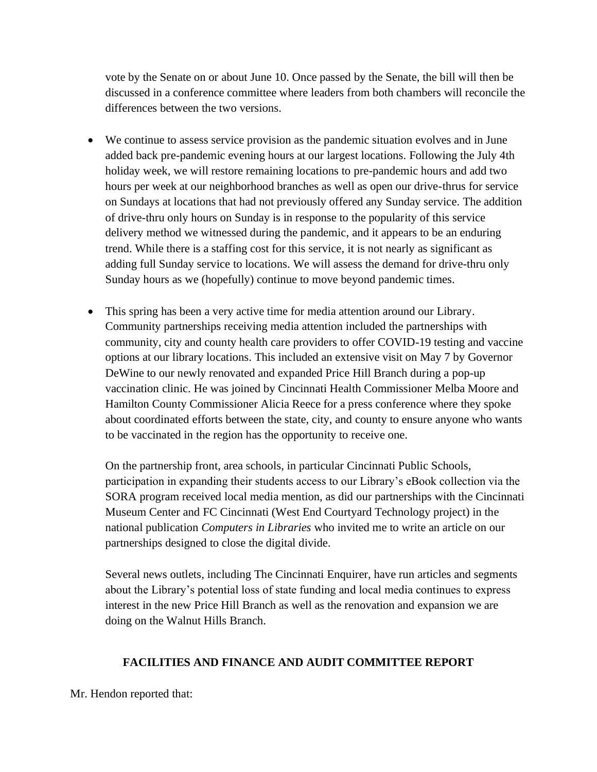vote by the Senate on or about June 10. Once passed by the Senate, the bill will then be discussed in a conference committee where leaders from both chambers will reconcile the differences between the two versions.

- We continue to assess service provision as the pandemic situation evolves and in June added back pre-pandemic evening hours at our largest locations. Following the July 4th holiday week, we will restore remaining locations to pre-pandemic hours and add two hours per week at our neighborhood branches as well as open our drive-thrus for service on Sundays at locations that had not previously offered any Sunday service. The addition of drive-thru only hours on Sunday is in response to the popularity of this service delivery method we witnessed during the pandemic, and it appears to be an enduring trend. While there is a staffing cost for this service, it is not nearly as significant as adding full Sunday service to locations. We will assess the demand for drive-thru only Sunday hours as we (hopefully) continue to move beyond pandemic times.
- This spring has been a very active time for media attention around our Library. Community partnerships receiving media attention included the partnerships with community, city and county health care providers to offer COVID-19 testing and vaccine options at our library locations. This included an extensive visit on May 7 by Governor DeWine to our newly renovated and expanded Price Hill Branch during a pop-up vaccination clinic. He was joined by Cincinnati Health Commissioner Melba Moore and Hamilton County Commissioner Alicia Reece for a press conference where they spoke about coordinated efforts between the state, city, and county to ensure anyone who wants to be vaccinated in the region has the opportunity to receive one.

On the partnership front, area schools, in particular Cincinnati Public Schools, participation in expanding their students access to our Library's eBook collection via the SORA program received local media mention, as did our partnerships with the Cincinnati Museum Center and FC Cincinnati (West End Courtyard Technology project) in the national publication *Computers in Libraries* who invited me to write an article on our partnerships designed to close the digital divide.

Several news outlets, including The Cincinnati Enquirer, have run articles and segments about the Library's potential loss of state funding and local media continues to express interest in the new Price Hill Branch as well as the renovation and expansion we are doing on the Walnut Hills Branch.

### **FACILITIES AND FINANCE AND AUDIT COMMITTEE REPORT**

Mr. Hendon reported that: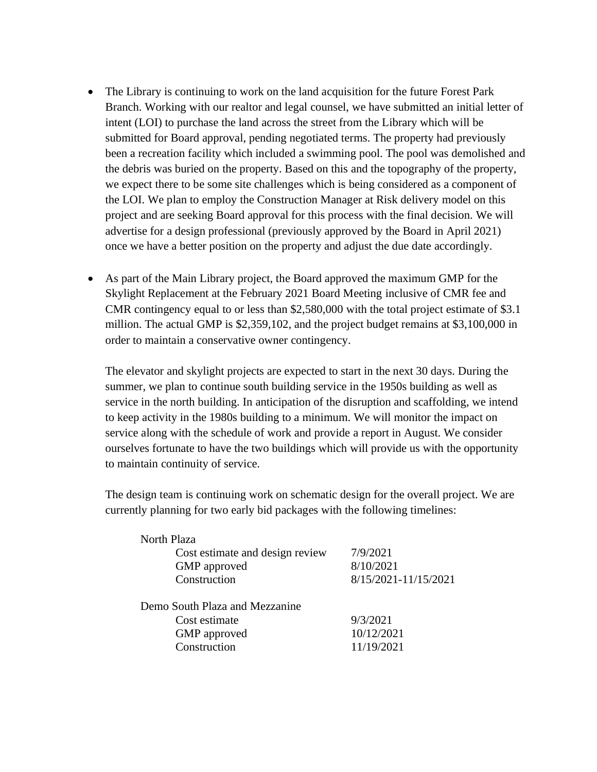- The Library is continuing to work on the land acquisition for the future Forest Park Branch. Working with our realtor and legal counsel, we have submitted an initial letter of intent (LOI) to purchase the land across the street from the Library which will be submitted for Board approval, pending negotiated terms. The property had previously been a recreation facility which included a swimming pool. The pool was demolished and the debris was buried on the property. Based on this and the topography of the property, we expect there to be some site challenges which is being considered as a component of the LOI. We plan to employ the Construction Manager at Risk delivery model on this project and are seeking Board approval for this process with the final decision. We will advertise for a design professional (previously approved by the Board in April 2021) once we have a better position on the property and adjust the due date accordingly.
- As part of the Main Library project, the Board approved the maximum GMP for the Skylight Replacement at the February 2021 Board Meeting inclusive of CMR fee and CMR contingency equal to or less than \$2,580,000 with the total project estimate of \$3.1 million. The actual GMP is \$2,359,102, and the project budget remains at \$3,100,000 in order to maintain a conservative owner contingency.

The elevator and skylight projects are expected to start in the next 30 days. During the summer, we plan to continue south building service in the 1950s building as well as service in the north building. In anticipation of the disruption and scaffolding, we intend to keep activity in the 1980s building to a minimum. We will monitor the impact on service along with the schedule of work and provide a report in August. We consider ourselves fortunate to have the two buildings which will provide us with the opportunity to maintain continuity of service.

The design team is continuing work on schematic design for the overall project. We are currently planning for two early bid packages with the following timelines:

| 7/9/2021             |
|----------------------|
| 8/10/2021            |
| 8/15/2021-11/15/2021 |
|                      |
| 9/3/2021             |
| 10/12/2021           |
| 11/19/2021           |
|                      |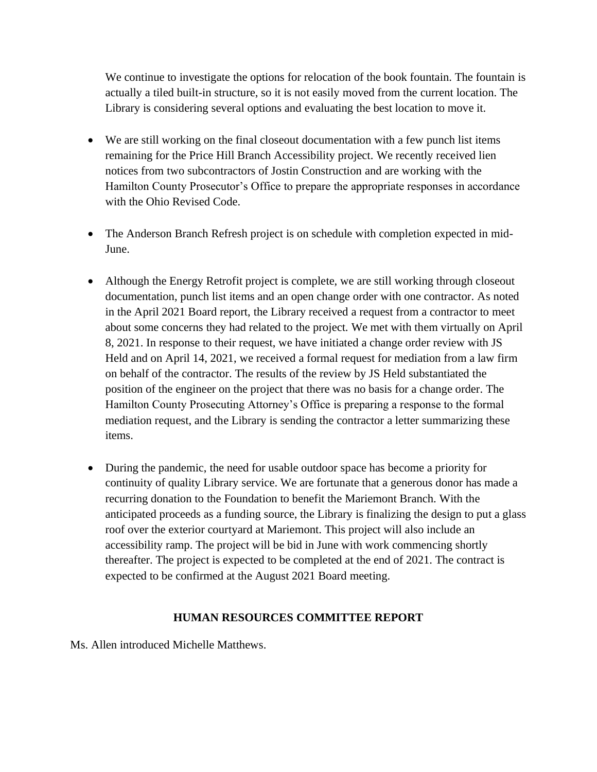We continue to investigate the options for relocation of the book fountain. The fountain is actually a tiled built-in structure, so it is not easily moved from the current location. The Library is considering several options and evaluating the best location to move it.

- We are still working on the final closeout documentation with a few punch list items remaining for the Price Hill Branch Accessibility project. We recently received lien notices from two subcontractors of Jostin Construction and are working with the Hamilton County Prosecutor's Office to prepare the appropriate responses in accordance with the Ohio Revised Code.
- The Anderson Branch Refresh project is on schedule with completion expected in mid-June.
- Although the Energy Retrofit project is complete, we are still working through closeout documentation, punch list items and an open change order with one contractor. As noted in the April 2021 Board report, the Library received a request from a contractor to meet about some concerns they had related to the project. We met with them virtually on April 8, 2021. In response to their request, we have initiated a change order review with JS Held and on April 14, 2021, we received a formal request for mediation from a law firm on behalf of the contractor. The results of the review by JS Held substantiated the position of the engineer on the project that there was no basis for a change order. The Hamilton County Prosecuting Attorney's Office is preparing a response to the formal mediation request, and the Library is sending the contractor a letter summarizing these items.
- During the pandemic, the need for usable outdoor space has become a priority for continuity of quality Library service. We are fortunate that a generous donor has made a recurring donation to the Foundation to benefit the Mariemont Branch. With the anticipated proceeds as a funding source, the Library is finalizing the design to put a glass roof over the exterior courtyard at Mariemont. This project will also include an accessibility ramp. The project will be bid in June with work commencing shortly thereafter. The project is expected to be completed at the end of 2021. The contract is expected to be confirmed at the August 2021 Board meeting.

#### **HUMAN RESOURCES COMMITTEE REPORT**

Ms. Allen introduced Michelle Matthews.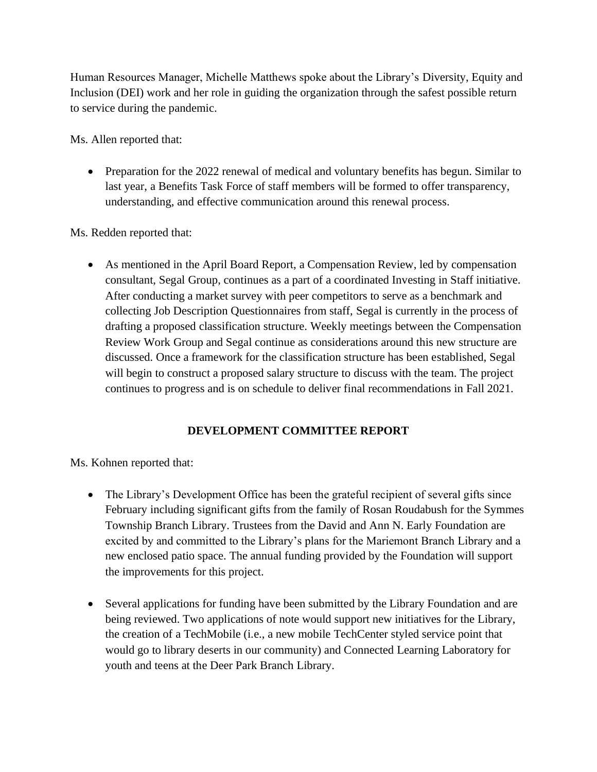Human Resources Manager, Michelle Matthews spoke about the Library's Diversity, Equity and Inclusion (DEI) work and her role in guiding the organization through the safest possible return to service during the pandemic.

Ms. Allen reported that:

• Preparation for the 2022 renewal of medical and voluntary benefits has begun. Similar to last year, a Benefits Task Force of staff members will be formed to offer transparency, understanding, and effective communication around this renewal process.

Ms. Redden reported that:

• As mentioned in the April Board Report, a Compensation Review, led by compensation consultant, Segal Group, continues as a part of a coordinated Investing in Staff initiative. After conducting a market survey with peer competitors to serve as a benchmark and collecting Job Description Questionnaires from staff, Segal is currently in the process of drafting a proposed classification structure. Weekly meetings between the Compensation Review Work Group and Segal continue as considerations around this new structure are discussed. Once a framework for the classification structure has been established, Segal will begin to construct a proposed salary structure to discuss with the team. The project continues to progress and is on schedule to deliver final recommendations in Fall 2021.

# **DEVELOPMENT COMMITTEE REPORT**

Ms. Kohnen reported that:

- The Library's Development Office has been the grateful recipient of several gifts since February including significant gifts from the family of Rosan Roudabush for the Symmes Township Branch Library. Trustees from the David and Ann N. Early Foundation are excited by and committed to the Library's plans for the Mariemont Branch Library and a new enclosed patio space. The annual funding provided by the Foundation will support the improvements for this project.
- Several applications for funding have been submitted by the Library Foundation and are being reviewed. Two applications of note would support new initiatives for the Library, the creation of a TechMobile (i.e., a new mobile TechCenter styled service point that would go to library deserts in our community) and Connected Learning Laboratory for youth and teens at the Deer Park Branch Library.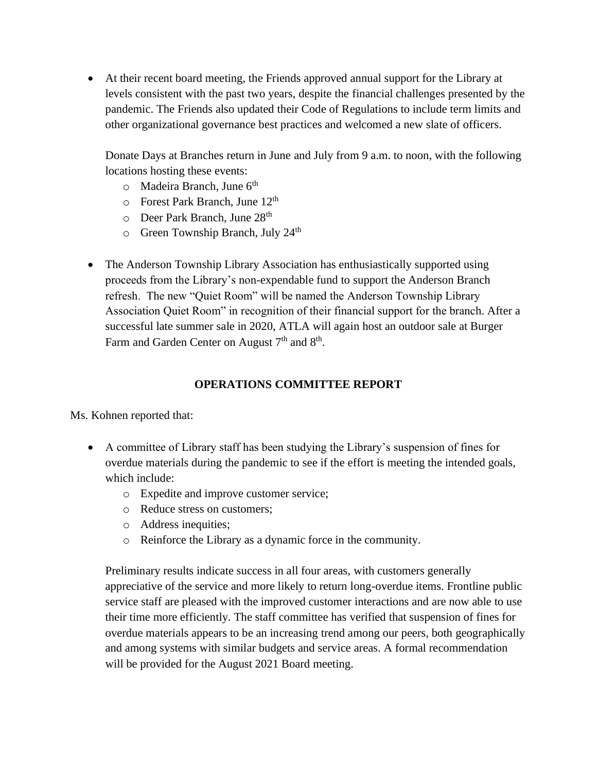• At their recent board meeting, the Friends approved annual support for the Library at levels consistent with the past two years, despite the financial challenges presented by the pandemic. The Friends also updated their Code of Regulations to include term limits and other organizational governance best practices and welcomed a new slate of officers.

Donate Days at Branches return in June and July from 9 a.m. to noon, with the following locations hosting these events:

- $\circ$  Madeira Branch, June 6<sup>th</sup>
- $\circ$  Forest Park Branch, June 12<sup>th</sup>
- $\circ$  Deer Park Branch, June 28<sup>th</sup>
- $\circ$  Green Township Branch, July 24<sup>th</sup>
- The Anderson Township Library Association has enthusiastically supported using proceeds from the Library's non-expendable fund to support the Anderson Branch refresh. The new "Quiet Room" will be named the Anderson Township Library Association Quiet Room" in recognition of their financial support for the branch. After a successful late summer sale in 2020, ATLA will again host an outdoor sale at Burger Farm and Garden Center on August  $7<sup>th</sup>$  and  $8<sup>th</sup>$ .

# **OPERATIONS COMMITTEE REPORT**

Ms. Kohnen reported that:

- A committee of Library staff has been studying the Library's suspension of fines for overdue materials during the pandemic to see if the effort is meeting the intended goals, which include:
	- o Expedite and improve customer service;
	- o Reduce stress on customers;
	- o Address inequities;
	- o Reinforce the Library as a dynamic force in the community.

Preliminary results indicate success in all four areas, with customers generally appreciative of the service and more likely to return long-overdue items. Frontline public service staff are pleased with the improved customer interactions and are now able to use their time more efficiently. The staff committee has verified that suspension of fines for overdue materials appears to be an increasing trend among our peers, both geographically and among systems with similar budgets and service areas. A formal recommendation will be provided for the August 2021 Board meeting.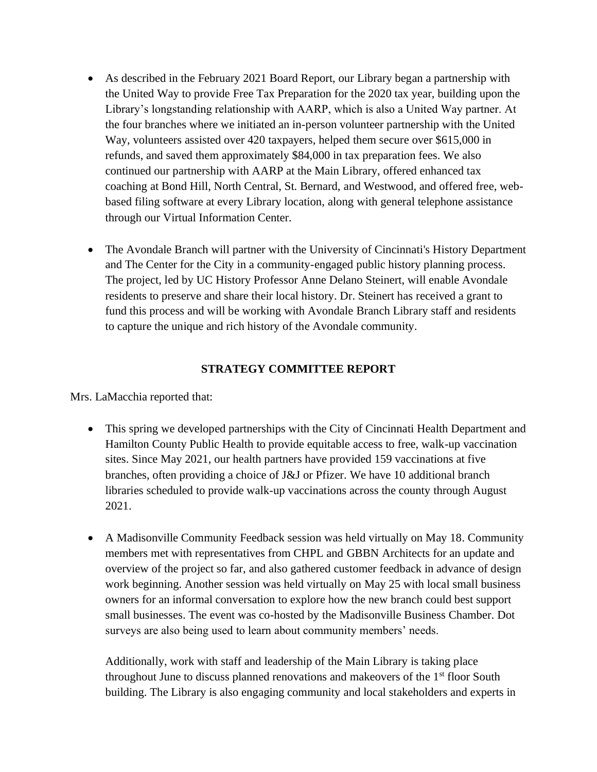- As described in the February 2021 Board Report, our Library began a partnership with the United Way to provide Free Tax Preparation for the 2020 tax year, building upon the Library's longstanding relationship with AARP, which is also a United Way partner. At the four branches where we initiated an in-person volunteer partnership with the United Way, volunteers assisted over 420 taxpayers, helped them secure over \$615,000 in refunds, and saved them approximately \$84,000 in tax preparation fees. We also continued our partnership with AARP at the Main Library, offered enhanced tax coaching at Bond Hill, North Central, St. Bernard, and Westwood, and offered free, webbased filing software at every Library location, along with general telephone assistance through our Virtual Information Center.
- The Avondale Branch will partner with the University of Cincinnati's History Department and The Center for the City in a community-engaged public history planning process. The project, led by UC History Professor Anne Delano Steinert, will enable Avondale residents to preserve and share their local history. Dr. Steinert has received a grant to fund this process and will be working with Avondale Branch Library staff and residents to capture the unique and rich history of the Avondale community.

### **STRATEGY COMMITTEE REPORT**

Mrs. LaMacchia reported that:

- This spring we developed partnerships with the City of Cincinnati Health Department and Hamilton County Public Health to provide equitable access to free, walk-up vaccination sites. Since May 2021, our health partners have provided 159 vaccinations at five branches, often providing a choice of J&J or Pfizer. We have 10 additional branch libraries scheduled to provide walk-up vaccinations across the county through August 2021.
- A Madisonville Community Feedback session was held virtually on May 18. Community members met with representatives from CHPL and GBBN Architects for an update and overview of the project so far, and also gathered customer feedback in advance of design work beginning. Another session was held virtually on May 25 with local small business owners for an informal conversation to explore how the new branch could best support small businesses. The event was co-hosted by the Madisonville Business Chamber. Dot surveys are also being used to learn about community members' needs.

Additionally, work with staff and leadership of the Main Library is taking place throughout June to discuss planned renovations and make overs of the  $1<sup>st</sup>$  floor South building. The Library is also engaging community and local stakeholders and experts in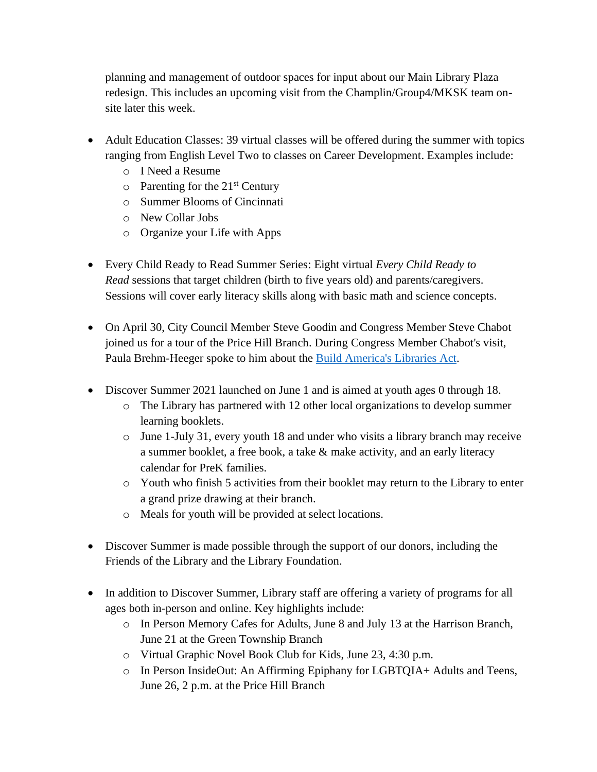planning and management of outdoor spaces for input about our Main Library Plaza redesign. This includes an upcoming visit from the Champlin/Group4/MKSK team onsite later this week.

- Adult Education Classes: 39 virtual classes will be offered during the summer with topics ranging from English Level Two to classes on Career Development. Examples include:
	- o I Need a Resume
	- $\circ$  Parenting for the 21<sup>st</sup> Century
	- o Summer Blooms of Cincinnati
	- o New Collar Jobs
	- o Organize your Life with Apps
- Every Child Ready to Read Summer Series: Eight virtual *Every Child Ready to Read* sessions that target children (birth to five years old) and parents/caregivers. Sessions will cover early literacy skills along with basic math and science concepts.
- On April 30, City Council Member Steve Goodin and Congress Member Steve Chabot joined us for a tour of the Price Hill Branch. During Congress Member Chabot's visit, Paula Brehm-Heeger spoke to him about the [Build America's Libraries Act.](http://www.ala.org/advocacy/buildlibraries)
- Discover Summer 2021 launched on June 1 and is aimed at youth ages 0 through 18.
	- o The Library has partnered with 12 other local organizations to develop summer learning booklets.
	- o June 1-July 31, every youth 18 and under who visits a library branch may receive a summer booklet, a free book, a take & make activity, and an early literacy calendar for PreK families.
	- o Youth who finish 5 activities from their booklet may return to the Library to enter a grand prize drawing at their branch.
	- o Meals for youth will be provided at select locations.
- Discover Summer is made possible through the support of our donors, including the Friends of the Library and the Library Foundation.
- In addition to Discover Summer, Library staff are offering a variety of programs for all ages both in-person and online. Key highlights include:
	- o In Person Memory Cafes for Adults, June 8 and July 13 at the Harrison Branch, June 21 at the Green Township Branch
	- o Virtual Graphic Novel Book Club for Kids, June 23, 4:30 p.m.
	- o In Person InsideOut: An Affirming Epiphany for LGBTQIA+ Adults and Teens, June 26, 2 p.m. at the Price Hill Branch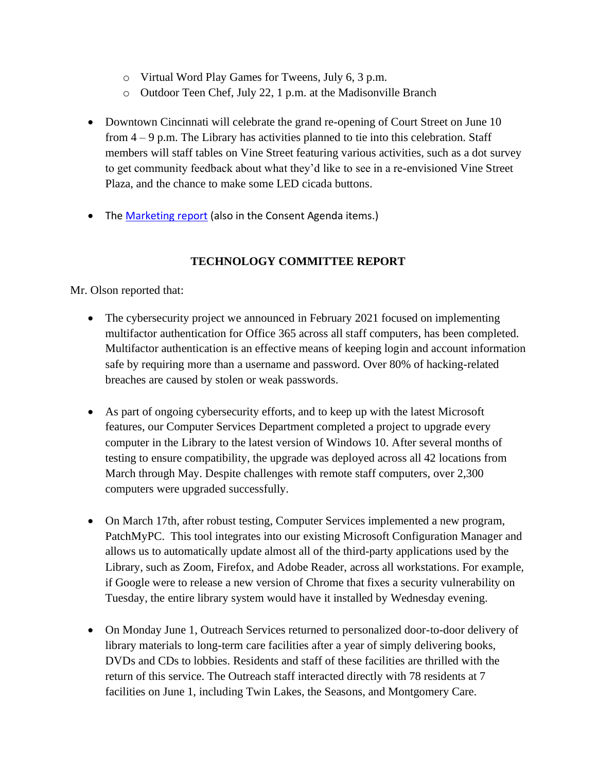- o Virtual Word Play Games for Tweens, July 6, 3 p.m.
- o Outdoor Teen Chef, July 22, 1 p.m. at the Madisonville Branch
- Downtown Cincinnati will celebrate the grand re-opening of Court Street on June 10 from 4 – 9 p.m. The Library has activities planned to tie into this celebration. Staff members will staff tables on Vine Street featuring various activities, such as a dot survey to get community feedback about what they'd like to see in a re-envisioned Vine Street Plaza, and the chance to make some LED cicada buttons.
- The [Marketing report](https://go.boarddocs.com/oh/plch/Board.nsf/files/C3LU62772B90/$file/Marketing%20Report%20April_May.pdf) (also in the Consent Agenda items.)

### **TECHNOLOGY COMMITTEE REPORT**

Mr. Olson reported that:

- The cybersecurity project we announced in February 2021 focused on implementing multifactor authentication for Office 365 across all staff computers, has been completed. Multifactor authentication is an effective means of keeping login and account information safe by requiring more than a username and password. Over 80% of hacking-related breaches are caused by stolen or weak passwords.
- As part of ongoing cybersecurity efforts, and to keep up with the latest Microsoft features, our Computer Services Department completed a project to upgrade every computer in the Library to the latest version of Windows 10. After several months of testing to ensure compatibility, the upgrade was deployed across all 42 locations from March through May. Despite challenges with remote staff computers, over 2,300 computers were upgraded successfully.
- On March 17th, after robust testing, Computer Services implemented a new program, PatchMyPC. This tool integrates into our existing Microsoft Configuration Manager and allows us to automatically update almost all of the third-party applications used by the Library, such as Zoom, Firefox, and Adobe Reader, across all workstations. For example, if Google were to release a new version of Chrome that fixes a security vulnerability on Tuesday, the entire library system would have it installed by Wednesday evening.
- On Monday June 1, Outreach Services returned to personalized door-to-door delivery of library materials to long-term care facilities after a year of simply delivering books, DVDs and CDs to lobbies. Residents and staff of these facilities are thrilled with the return of this service. The Outreach staff interacted directly with 78 residents at 7 facilities on June 1, including Twin Lakes, the Seasons, and Montgomery Care.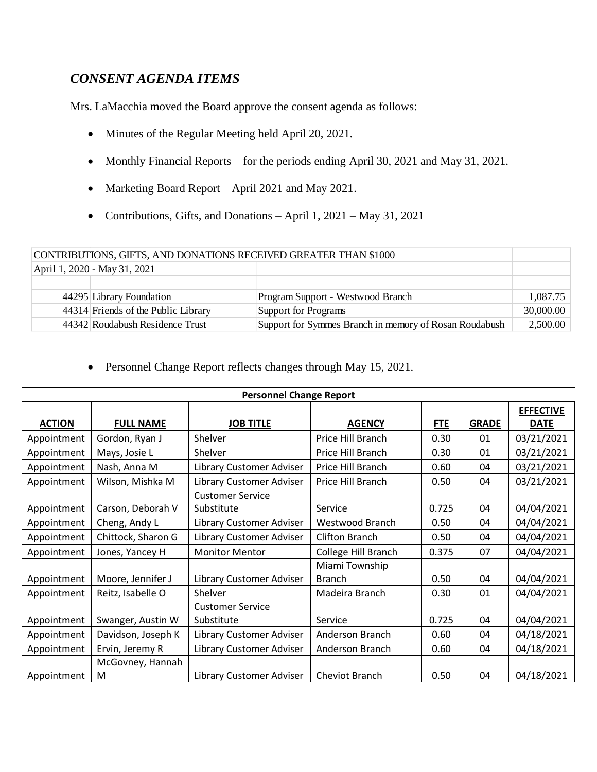# *CONSENT AGENDA ITEMS*

Mrs. LaMacchia moved the Board approve the consent agenda as follows:

- Minutes of the Regular Meeting held April 20, 2021.
- Monthly Financial Reports for the periods ending April 30, 2021 and May 31, 2021.
- Marketing Board Report April 2021 and May 2021.
- Contributions, Gifts, and Donations April 1, 2021 May 31, 2021

| CONTRIBUTIONS, GIFTS, AND DONATIONS RECEIVED GREATER THAN \$1000 |                                     |                                                        |           |  |
|------------------------------------------------------------------|-------------------------------------|--------------------------------------------------------|-----------|--|
| April 1, 2020 - May 31, 2021                                     |                                     |                                                        |           |  |
|                                                                  |                                     |                                                        |           |  |
|                                                                  | 44295 Library Foundation            | Program Support - Westwood Branch                      | 1,087.75  |  |
|                                                                  | 44314 Friends of the Public Library | Support for Programs                                   | 30,000.00 |  |
|                                                                  | 44342 Roudabush Residence Trust     | Support for Symmes Branch in memory of Rosan Roudabush | 2,500.00  |  |

• Personnel Change Report reflects changes through May 15, 2021.

| <b>Personnel Change Report</b> |                    |                          |                     |            |              |                  |  |
|--------------------------------|--------------------|--------------------------|---------------------|------------|--------------|------------------|--|
|                                |                    |                          |                     |            |              | <b>EFFECTIVE</b> |  |
| <b>ACTION</b>                  | <b>FULL NAME</b>   | <b>JOB TITLE</b>         | <b>AGENCY</b>       | <b>FTE</b> | <b>GRADE</b> | <b>DATE</b>      |  |
| Appointment                    | Gordon, Ryan J     | Shelver                  | Price Hill Branch   | 0.30       | 01           | 03/21/2021       |  |
| Appointment                    | Mays, Josie L      | Shelver                  | Price Hill Branch   | 0.30       | 01           | 03/21/2021       |  |
| Appointment                    | Nash, Anna M       | Library Customer Adviser | Price Hill Branch   | 0.60       | 04           | 03/21/2021       |  |
| Appointment                    | Wilson, Mishka M   | Library Customer Adviser | Price Hill Branch   | 0.50       | 04           | 03/21/2021       |  |
|                                |                    | <b>Customer Service</b>  |                     |            |              |                  |  |
| Appointment                    | Carson, Deborah V  | Substitute               | Service             | 0.725      | 04           | 04/04/2021       |  |
| Appointment                    | Cheng, Andy L      | Library Customer Adviser | Westwood Branch     | 0.50       | 04           | 04/04/2021       |  |
| Appointment                    | Chittock, Sharon G | Library Customer Adviser | Clifton Branch      | 0.50       | 04           | 04/04/2021       |  |
| Appointment                    | Jones, Yancey H    | <b>Monitor Mentor</b>    | College Hill Branch | 0.375      | 07           | 04/04/2021       |  |
|                                |                    |                          | Miami Township      |            |              |                  |  |
| Appointment                    | Moore, Jennifer J  | Library Customer Adviser | <b>Branch</b>       | 0.50       | 04           | 04/04/2021       |  |
| Appointment                    | Reitz, Isabelle O  | Shelver                  | Madeira Branch      | 0.30       | 01           | 04/04/2021       |  |
|                                |                    | <b>Customer Service</b>  |                     |            |              |                  |  |
| Appointment                    | Swanger, Austin W  | Substitute               | Service             | 0.725      | 04           | 04/04/2021       |  |
| Appointment                    | Davidson, Joseph K | Library Customer Adviser | Anderson Branch     | 0.60       | 04           | 04/18/2021       |  |
| Appointment                    | Ervin, Jeremy R    | Library Customer Adviser | Anderson Branch     | 0.60       | 04           | 04/18/2021       |  |
|                                | McGovney, Hannah   |                          |                     |            |              |                  |  |
| Appointment                    | M                  | Library Customer Adviser | Cheviot Branch      | 0.50       | 04           | 04/18/2021       |  |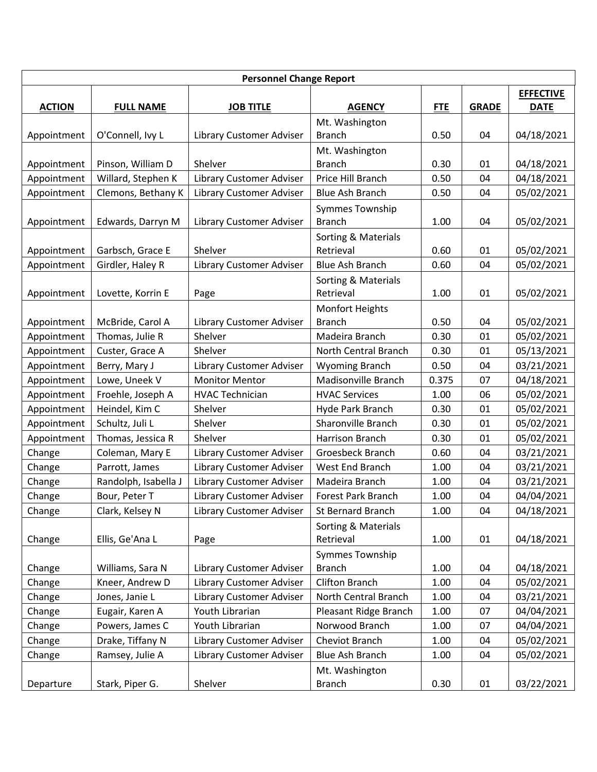| <b>Personnel Change Report</b> |                      |                          |                        |            |                  |             |
|--------------------------------|----------------------|--------------------------|------------------------|------------|------------------|-------------|
|                                |                      |                          |                        |            | <b>EFFECTIVE</b> |             |
| <b>ACTION</b>                  | <b>FULL NAME</b>     | <b>JOB TITLE</b>         | <b>AGENCY</b>          | <b>FTE</b> | <b>GRADE</b>     | <b>DATE</b> |
|                                |                      |                          | Mt. Washington         |            |                  |             |
| Appointment                    | O'Connell, Ivy L     | Library Customer Adviser | <b>Branch</b>          | 0.50       | 04               | 04/18/2021  |
|                                |                      |                          | Mt. Washington         |            |                  |             |
| Appointment                    | Pinson, William D    | Shelver                  | <b>Branch</b>          | 0.30       | 01               | 04/18/2021  |
| Appointment                    | Willard, Stephen K   | Library Customer Adviser | Price Hill Branch      | 0.50       | 04               | 04/18/2021  |
| Appointment                    | Clemons, Bethany K   | Library Customer Adviser | <b>Blue Ash Branch</b> | 0.50       | 04               | 05/02/2021  |
|                                |                      |                          | Symmes Township        |            |                  |             |
| Appointment                    | Edwards, Darryn M    | Library Customer Adviser | <b>Branch</b>          | 1.00       | 04               | 05/02/2021  |
|                                |                      |                          | Sorting & Materials    |            |                  |             |
| Appointment                    | Garbsch, Grace E     | Shelver                  | Retrieval              | 0.60       | 01               | 05/02/2021  |
| Appointment                    | Girdler, Haley R     | Library Customer Adviser | <b>Blue Ash Branch</b> | 0.60       | 04               | 05/02/2021  |
|                                |                      |                          | Sorting & Materials    |            |                  |             |
| Appointment                    | Lovette, Korrin E    | Page                     | Retrieval              | 1.00       | 01               | 05/02/2021  |
|                                |                      |                          | <b>Monfort Heights</b> |            |                  |             |
| Appointment                    | McBride, Carol A     | Library Customer Adviser | <b>Branch</b>          | 0.50       | 04               | 05/02/2021  |
| Appointment                    | Thomas, Julie R      | Shelver                  | Madeira Branch         | 0.30       | 01               | 05/02/2021  |
| Appointment                    | Custer, Grace A      | Shelver                  | North Central Branch   | 0.30       | 01               | 05/13/2021  |
| Appointment                    | Berry, Mary J        | Library Customer Adviser | <b>Wyoming Branch</b>  | 0.50       | 04               | 03/21/2021  |
| Appointment                    | Lowe, Uneek V        | <b>Monitor Mentor</b>    | Madisonville Branch    | 0.375      | 07               | 04/18/2021  |
| Appointment                    | Froehle, Joseph A    | <b>HVAC Technician</b>   | <b>HVAC Services</b>   | 1.00       | 06               | 05/02/2021  |
| Appointment                    | Heindel, Kim C       | Shelver                  | Hyde Park Branch       | 0.30       | 01               | 05/02/2021  |
| Appointment                    | Schultz, Juli L      | Shelver                  | Sharonville Branch     | 0.30       | 01               | 05/02/2021  |
| Appointment                    | Thomas, Jessica R    | Shelver                  | Harrison Branch        | 0.30       | 01               | 05/02/2021  |
| Change                         | Coleman, Mary E      | Library Customer Adviser | Groesbeck Branch       | 0.60       | 04               | 03/21/2021  |
| Change                         | Parrott, James       | Library Customer Adviser | West End Branch        | 1.00       | 04               | 03/21/2021  |
| Change                         | Randolph, Isabella J | Library Customer Adviser | Madeira Branch         | 1.00       | 04               | 03/21/2021  |
| Change                         | Bour, Peter T        | Library Customer Adviser | Forest Park Branch     | 1.00       | 04               | 04/04/2021  |
| Change                         | Clark, Kelsey N      | Library Customer Adviser | St Bernard Branch      | 1.00       | 04               | 04/18/2021  |
|                                |                      |                          | Sorting & Materials    |            |                  |             |
| Change                         | Ellis, Ge'Ana L      | Page                     | Retrieval              | 1.00       | 01               | 04/18/2021  |
|                                |                      |                          | Symmes Township        |            |                  |             |
| Change                         | Williams, Sara N     | Library Customer Adviser | <b>Branch</b>          | 1.00       | 04               | 04/18/2021  |
| Change                         | Kneer, Andrew D      | Library Customer Adviser | Clifton Branch         | 1.00       | 04               | 05/02/2021  |
| Change                         | Jones, Janie L       | Library Customer Adviser | North Central Branch   | 1.00       | 04               | 03/21/2021  |
| Change                         | Eugair, Karen A      | Youth Librarian          | Pleasant Ridge Branch  | 1.00       | 07               | 04/04/2021  |
| Change                         | Powers, James C      | Youth Librarian          | Norwood Branch         | 1.00       | 07               | 04/04/2021  |
| Change                         | Drake, Tiffany N     | Library Customer Adviser | Cheviot Branch         | 1.00       | 04               | 05/02/2021  |
| Change                         | Ramsey, Julie A      | Library Customer Adviser | Blue Ash Branch        | 1.00       | 04               | 05/02/2021  |
|                                |                      |                          | Mt. Washington         |            |                  |             |
| Departure                      | Stark, Piper G.      | Shelver                  | <b>Branch</b>          | 0.30       | 01               | 03/22/2021  |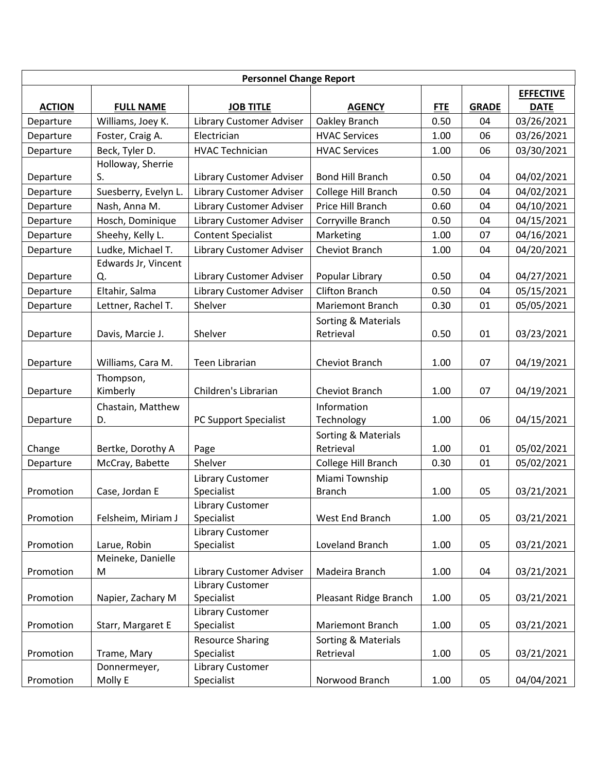| <b>Personnel Change Report</b> |                             |                                 |                         |            |              |                  |
|--------------------------------|-----------------------------|---------------------------------|-------------------------|------------|--------------|------------------|
|                                |                             |                                 |                         |            |              | <b>EFFECTIVE</b> |
| <b>ACTION</b>                  | <b>FULL NAME</b>            | <b>JOB TITLE</b>                | <b>AGENCY</b>           | <b>FTE</b> | <b>GRADE</b> | <b>DATE</b>      |
| Departure                      | Williams, Joey K.           | Library Customer Adviser        | Oakley Branch           | 0.50       | 04           | 03/26/2021       |
| Departure                      | Foster, Craig A.            | Electrician                     | <b>HVAC Services</b>    | 1.00       | 06           | 03/26/2021       |
| Departure                      | Beck, Tyler D.              | <b>HVAC Technician</b>          | <b>HVAC Services</b>    | 1.00       | 06           | 03/30/2021       |
|                                | Holloway, Sherrie           |                                 |                         |            |              |                  |
| Departure                      | S.                          | Library Customer Adviser        | <b>Bond Hill Branch</b> | 0.50       | 04           | 04/02/2021       |
| Departure                      | Suesberry, Evelyn L.        | <b>Library Customer Adviser</b> | College Hill Branch     | 0.50       | 04           | 04/02/2021       |
| Departure                      | Nash, Anna M.               | <b>Library Customer Adviser</b> | Price Hill Branch       | 0.60       | 04           | 04/10/2021       |
| Departure                      | Hosch, Dominique            | Library Customer Adviser        | Corryville Branch       | 0.50       | 04           | 04/15/2021       |
| Departure                      | Sheehy, Kelly L.            | <b>Content Specialist</b>       | Marketing               | 1.00       | 07           | 04/16/2021       |
| Departure                      | Ludke, Michael T.           | Library Customer Adviser        | Cheviot Branch          | 1.00       | 04           | 04/20/2021       |
|                                | Edwards Jr, Vincent         |                                 |                         |            |              |                  |
| Departure                      | Q.                          | Library Customer Adviser        | Popular Library         | 0.50       | 04           | 04/27/2021       |
| Departure                      | Eltahir, Salma              | Library Customer Adviser        | <b>Clifton Branch</b>   | 0.50       | 04           | 05/15/2021       |
| Departure                      | Lettner, Rachel T.          | Shelver                         | Mariemont Branch        | 0.30       | 01           | 05/05/2021       |
|                                |                             |                                 | Sorting & Materials     |            |              |                  |
| Departure                      | Davis, Marcie J.            | Shelver                         | Retrieval               | 0.50       | 01           | 03/23/2021       |
|                                |                             |                                 |                         |            |              |                  |
| Departure                      | Williams, Cara M.           | <b>Teen Librarian</b>           | Cheviot Branch          | 1.00       | 07           | 04/19/2021       |
|                                | Thompson,                   |                                 |                         |            |              |                  |
| Departure                      | Kimberly                    | Children's Librarian            | Cheviot Branch          | 1.00       | 07           | 04/19/2021       |
|                                | Chastain, Matthew           |                                 | Information             |            |              |                  |
| Departure                      | D.                          | PC Support Specialist           | Technology              | 1.00       | 06           | 04/15/2021       |
|                                |                             |                                 | Sorting & Materials     |            |              |                  |
| Change                         | Bertke, Dorothy A           | Page                            | Retrieval               | 1.00       | 01           | 05/02/2021       |
| Departure                      | McCray, Babette             | Shelver                         | College Hill Branch     | 0.30       | 01           | 05/02/2021       |
|                                |                             | Library Customer                | Miami Township          |            |              |                  |
| Promotion                      | Case, Jordan E              | Specialist                      | <b>Branch</b>           | 1.00       | 05           | 03/21/2021       |
|                                |                             | Library Customer                |                         |            |              |                  |
| Promotion                      | Felsheim, Miriam J          | Specialist                      | West End Branch         | 1.00       | 05           | 03/21/2021       |
|                                |                             | Library Customer                |                         |            |              |                  |
| Promotion                      | Larue, Robin                | Specialist                      | Loveland Branch         | 1.00       | 05           | 03/21/2021       |
|                                | Meineke, Danielle           |                                 |                         |            |              |                  |
| Promotion                      | M                           | Library Customer Adviser        | Madeira Branch          | 1.00       | 04           | 03/21/2021       |
|                                |                             | Library Customer                |                         |            |              |                  |
| Promotion                      | Napier, Zachary M           | Specialist                      | Pleasant Ridge Branch   | 1.00       | 05           | 03/21/2021       |
| Promotion                      |                             | Library Customer<br>Specialist  | Mariemont Branch        | 1.00       | 05           | 03/21/2021       |
|                                | Starr, Margaret E           |                                 |                         |            |              |                  |
|                                |                             | <b>Resource Sharing</b>         | Sorting & Materials     |            |              |                  |
| Promotion                      | Trame, Mary<br>Donnermeyer, | Specialist<br>Library Customer  | Retrieval               | 1.00       | 05           | 03/21/2021       |
| Promotion                      | Molly E                     | Specialist                      | Norwood Branch          | 1.00       | 05           | 04/04/2021       |
|                                |                             |                                 |                         |            |              |                  |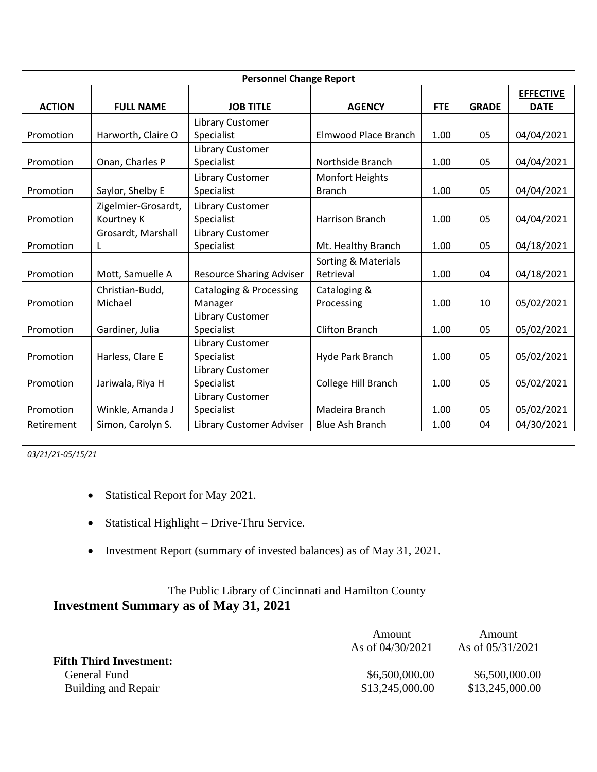|                   | <b>Personnel Change Report</b> |                                    |                        |            |              |                  |  |
|-------------------|--------------------------------|------------------------------------|------------------------|------------|--------------|------------------|--|
|                   |                                |                                    |                        |            |              | <b>EFFECTIVE</b> |  |
| <b>ACTION</b>     | <b>FULL NAME</b>               | <b>JOB TITLE</b>                   | <b>AGENCY</b>          | <b>FTE</b> | <b>GRADE</b> | <b>DATE</b>      |  |
|                   |                                | Library Customer                   |                        |            |              |                  |  |
| Promotion         | Harworth, Claire O             | Specialist                         | Elmwood Place Branch   | 1.00       | 05           | 04/04/2021       |  |
|                   |                                | Library Customer                   |                        |            |              |                  |  |
| Promotion         | Onan, Charles P                | Specialist                         | Northside Branch       | 1.00       | 05           | 04/04/2021       |  |
|                   |                                | <b>Library Customer</b>            | Monfort Heights        |            |              |                  |  |
| Promotion         | Saylor, Shelby E               | Specialist                         | <b>Branch</b>          | 1.00       | 05           | 04/04/2021       |  |
|                   | Zigelmier-Grosardt,            | Library Customer                   |                        |            |              |                  |  |
| Promotion         | Kourtney K                     | Specialist                         | Harrison Branch        | 1.00       | 05           | 04/04/2021       |  |
|                   | Grosardt, Marshall             | Library Customer                   |                        |            |              |                  |  |
| Promotion         | L                              | Specialist                         | Mt. Healthy Branch     | 1.00       | 05           | 04/18/2021       |  |
|                   |                                |                                    | Sorting & Materials    |            |              |                  |  |
| Promotion         | Mott, Samuelle A               | <b>Resource Sharing Adviser</b>    | Retrieval              | 1.00       | 04           | 04/18/2021       |  |
|                   | Christian-Budd,                | <b>Cataloging &amp; Processing</b> | Cataloging &           |            |              |                  |  |
| Promotion         | Michael                        | Manager                            | Processing             | 1.00       | 10           | 05/02/2021       |  |
|                   |                                | Library Customer                   |                        |            |              |                  |  |
| Promotion         | Gardiner, Julia                | Specialist                         | <b>Clifton Branch</b>  | 1.00       | 05           | 05/02/2021       |  |
|                   |                                | Library Customer                   |                        |            |              |                  |  |
| Promotion         | Harless, Clare E               | Specialist                         | Hyde Park Branch       | 1.00       | 05           | 05/02/2021       |  |
|                   |                                | Library Customer                   |                        |            |              |                  |  |
| Promotion         | Jariwala, Riya H               | Specialist                         | College Hill Branch    | 1.00       | 05           | 05/02/2021       |  |
|                   |                                | Library Customer                   |                        |            |              |                  |  |
| Promotion         | Winkle, Amanda J               | Specialist                         | Madeira Branch         | 1.00       | 05           | 05/02/2021       |  |
| Retirement        | Simon, Carolyn S.              | Library Customer Adviser           | <b>Blue Ash Branch</b> | 1.00       | 04           | 04/30/2021       |  |
|                   |                                |                                    |                        |            |              |                  |  |
| 03/21/21-05/15/21 |                                |                                    |                        |            |              |                  |  |

- Statistical Report for May 2021.
- Statistical Highlight Drive-Thru Service.
- Investment Report (summary of invested balances) as of May 31, 2021.

# The Public Library of Cincinnati and Hamilton County **Investment Summary as of May 31, 2021**

|                                | Amount<br>As of $04/30/2021$ | Amount<br>As of $05/31/2021$ |
|--------------------------------|------------------------------|------------------------------|
| <b>Fifth Third Investment:</b> |                              |                              |
| General Fund                   | \$6,500,000.00               | \$6,500,000.00               |
| Building and Repair            | \$13,245,000.00              | \$13,245,000.00              |